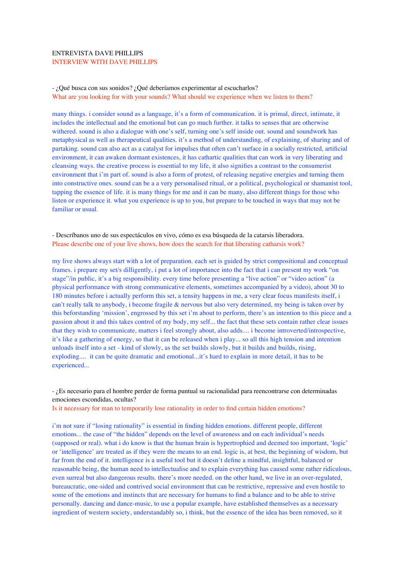## ENTREVISTA DAVE PHILLIPS INTERVIEW WITH DAVE PHILLIPS

## - ¿Qué busca con sus sonidos? ¿Qué deberíamos experimentar al escucharlos? What are you looking for with your sounds? What should we experience when we listen to them?

many things. i consider sound as a language, it's a form of communication. it is primal, direct, intimate, it includes the intellectual and the emotional but can go much further. it talks to senses that are otherwise withered. sound is also a dialogue with one's self, turning one's self inside out. sound and soundwork has metaphysical as well as therapeutical qualities. it's a method of understanding, of explaining, of sharing and of partaking. sound can also act as a catalyst for impulses that often can't surface in a socially restricted, artificial environment, it can awaken dormant existences, it has cathartic qualities that can work in very liberating and cleansing ways. the creative process is essential to my life, it also signifies a contrast to the consumerist environment that i'm part of. sound is also a form of protest, of releasing negative energies and turning them into constructive ones. sound can be a a very personalised ritual, or a political, psychological or shamanist tool, tapping the essence of life. it is many things for me and it can be many, also different things for those who listen or experience it. what you experience is up to you, but prepare to be touched in ways that may not be familiar or usual.

- Descríbanos uno de sus espectáculos en vivo, cómo es esa búsqueda de la catarsis liberadora. Please describe one of your live shows, how does the search for that liberating catharsis work?

my live shows always start with a lot of preparation. each set is guided by strict compositional and conceptual frames. i prepare my set/s dilligently, i put a lot of importance into the fact that i can present my work "on stage"/in public, it's a big responsibility. every time before presenting a "live action" or "video action" (a physical performance with strong communicative elements, sometimes accompanied by a video), about 30 to 180 minutes before i actually perform this set, a tensity happens in me, a very clear focus manifests itself, i can't really talk to anybody, i become fragile & nervous but also very determined, my being is taken over by this beforstanding 'mission', engrossed by this set i'm about to perform, there's an intention to this piece and a passion about it and this takes control of my body, my self... the fact that these sets contain rather clear issues that they wish to communicate, matters i feel strongly about, also adds.... i become introverted/introspective, it's like a gathering of energy, so that it can be released when i play... so all this high tension and intention unloads itself into a set - kind of slowly, as the set builds slowly, but it builds and builds, rising, exploding.... it can be quite dramatic and emotional...it's hard to explain in more detail, it has to be experienced...

- ¿Es necesario para el hombre perder de forma puntual su racionalidad para reencontrarse con determinadas emociones escondidas, ocultas?

Is it necessary for man to temporarily lose rationality in order to find certain hidden emotions?

i'm not sure if "losing rationality" is essential in finding hidden emotions. different people, different emotions... the case of "the hidden" depends on the level of awareness and on each individual's needs (supposed or real). what i do know is that the human brain is hypertrophied and deemed too important, 'logic' or 'intelligence' are treated as if they were the means to an end. logic is, at best, the beginning of wisdom, but far from the end of it. intelligence is a useful tool but it doesn't define a mindful, insightful, balanced or reasonable being, the human need to intellectualise and to explain everything has caused some rather ridiculous, even surreal but also dangerous results. there's more needed. on the other hand, we live in an over-regulated, bureaucratic, one-sided and contrived social environment that can be restrictive, repressive and even hostile to some of the emotions and instincts that are necessary for humans to find a balance and to be able to strive personally. dancing and dance-music, to use a popular example, have established themselves as a necessary ingredient of western society, understandably so, i think, but the essence of the idea has been removed, so it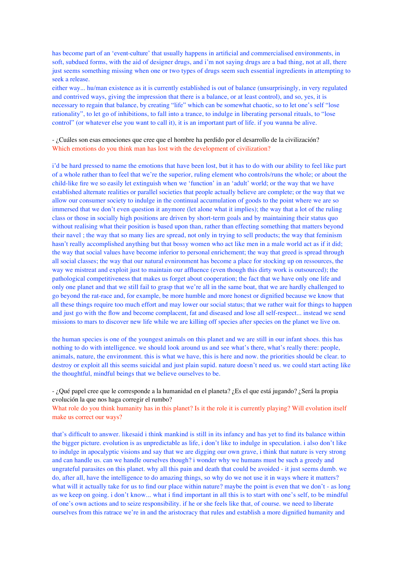has become part of an 'event-culture' that usually happens in artificial and commercialised environments, in soft, subdued forms, with the aid of designer drugs, and i'm not saying drugs are a bad thing, not at all, there just seems something missing when one or two types of drugs seem such essential ingredients in attempting to seek a release.

either way... hu/man existence as it is currently established is out of balance (unsurprisingly, in very regulated and contrived ways, giving the impression that there is a balance, or at least control), and so, yes, it is necessary to regain that balance, by creating "life" which can be somewhat chaotic, so to let one's self "lose rationality", to let go of inhibitions, to fall into a trance, to indulge in liberating personal rituals, to "lose control" (or whatever else you want to call it), it is an important part of life. if you wanna be alive.

- ¿Cuáles son esas emociones que cree que el hombre ha perdido por el desarrollo de la civilización? Which emotions do you think man has lost with the development of civilization?

i'd be hard pressed to name the emotions that have been lost, but it has to do with our ability to feel like part of a whole rather than to feel that we're the superior, ruling element who controls/runs the whole; or about the child-like fire we so easily let extinguish when we 'function' in an 'adult' world; or the way that we have established alternate realities or parallel societies that people actually believe are complete; or the way that we allow our consumer society to indulge in the continual accumulation of goods to the point where we are so immersed that we don't even question it anymore (let alone what it implies); the way that a lot of the ruling class or those in socially high positions are driven by short-term goals and by maintaining their status quo without realising what their position is based upon than, rather than effecting something that matters beyond their navel ; the way that so many lies are spread, not only in trying to sell products; the way that feminism hasn't really accomplished anything but that bossy women who act like men in a male world act as if it did; the way that social values have become inferior to personal enrichement; the way that greed is spread through all social classes; the way that our natural evnironment has become a place for stocking up on ressources, the way we mistreat and exploit just to maintain our affluence (even though this dirty work is outsourced); the pathological competitiveness that makes us forget about cooperation; the fact that we have only one life and only one planet and that we still fail to grasp that we're all in the same boat, that we are hardly challenged to go beyond the rat-race and, for example, be more humble and more honest or dignified because we know that all these things require too much effort and may lower our social status; that we rather wait for things to happen and just go with the flow and become complacent, fat and diseased and lose all self-respect... instead we send missions to mars to discover new life while we are killing off species after species on the planet we live on.

the human species is one of the youngest animals on this planet and we are still in our infant shoes. this has nothing to do with intelligence. we should look around us and see what's there, what's really there: people, animals, nature, the environment. this is what we have, this is here and now. the priorities should be clear. to destroy or exploit all this seems suicidal and just plain supid. nature doesn't need us. we could start acting like the thoughtful, mindful beings that we believe ourselves to be.

- ¿Qué papel cree que le corresponde a la humanidad en el planeta? ¿Es el que está jugando? ¿Será la propia evolución la que nos haga corregir el rumbo?

What role do you think humanity has in this planet? Is it the role it is currently playing? Will evolution itself make us correct our ways?

that's difficult to answer. likesaid i think mankind is still in its infancy and has yet to find its balance within the bigger picture. evolution is as unpredictable as life, i don't like to indulge in speculation. i also don't like to indulge in apocalyptic visions and say that we are digging our own grave, i think that nature is very strong and can handle us. can we handle ourselves though? i wonder why we humans must be such a greedy and ungrateful parasites on this planet. why all this pain and death that could be avoided - it just seems dumb. we do, after all, have the intelligence to do amazing things, so why do we not use it in ways where it matters? what will it actually take for us to find our place within nature? maybe the point is even that we don't - as long as we keep on going. i don't know... what i find important in all this is to start with one's self, to be mindful of one's own actions and to seize responsibility. if he or she feels like that, of course. we need to liberate ourselves from this ratrace we're in and the aristocracy that rules and establish a more dignified humanity and